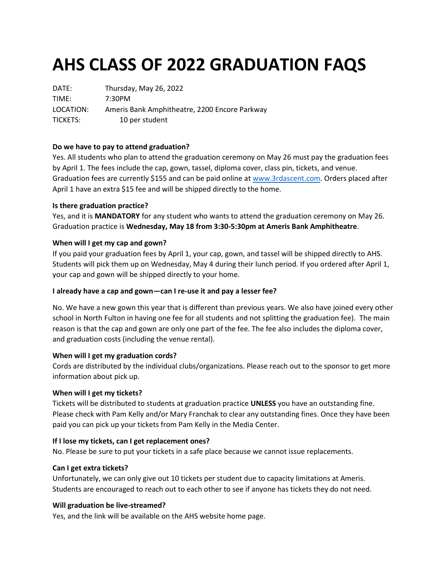# **AHS CLASS OF 2022 GRADUATION FAQS**

DATE: Thursday, May 26, 2022 TIME: 7:30PM LOCATION: Ameris Bank Amphitheatre, 2200 Encore Parkway TICKETS: 10 per student

# **Do we have to pay to attend graduation?**

Yes. All students who plan to attend the graduation ceremony on May 26 must pay the graduation fees by April 1. The fees include the cap, gown, tassel, diploma cover, class pin, tickets, and venue. Graduation fees are currently \$155 and can be paid online at [www.3rdascent.com.](http://www.3rdascent.com/) Orders placed after April 1 have an extra \$15 fee and will be shipped directly to the home.

# **Is there graduation practice?**

Yes, and it is **MANDATORY** for any student who wants to attend the graduation ceremony on May 26. Graduation practice is **Wednesday, May 18 from 3:30-5:30pm at Ameris Bank Amphitheatre**.

# **When will I get my cap and gown?**

If you paid your graduation fees by April 1, your cap, gown, and tassel will be shipped directly to AHS. Students will pick them up on Wednesday, May 4 during their lunch period. If you ordered after April 1, your cap and gown will be shipped directly to your home.

# **I already have a cap and gown—can I re-use it and pay a lesser fee?**

No. We have a new gown this year that is different than previous years. We also have joined every other school in North Fulton in having one fee for all students and not splitting the graduation fee). The main reason is that the cap and gown are only one part of the fee. The fee also includes the diploma cover, and graduation costs (including the venue rental).

# **When will I get my graduation cords?**

Cords are distributed by the individual clubs/organizations. Please reach out to the sponsor to get more information about pick up.

# **When will I get my tickets?**

Tickets will be distributed to students at graduation practice **UNLESS** you have an outstanding fine. Please check with Pam Kelly and/or Mary Franchak to clear any outstanding fines. Once they have been paid you can pick up your tickets from Pam Kelly in the Media Center.

# **If I lose my tickets, can I get replacement ones?**

No. Please be sure to put your tickets in a safe place because we cannot issue replacements.

# **Can I get extra tickets?**

Unfortunately, we can only give out 10 tickets per student due to capacity limitations at Ameris. Students are encouraged to reach out to each other to see if anyone has tickets they do not need.

# **Will graduation be live-streamed?**

Yes, and the link will be available on the AHS website home page.